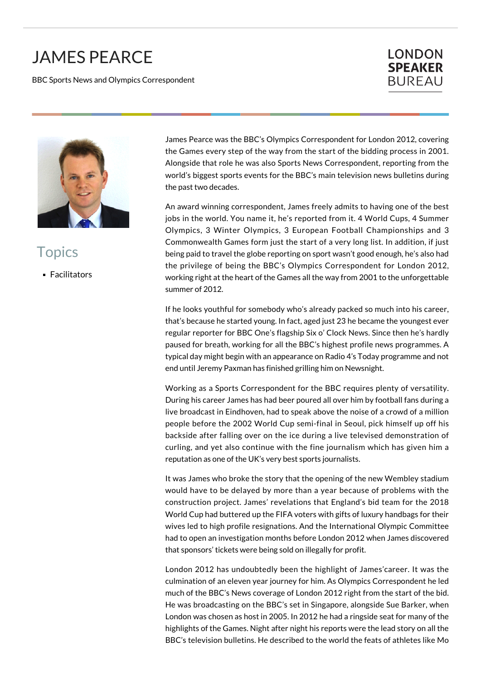## JAMES PEARCE

BBC Sports News and Olympics Correspondent

## **LONDON SPEAKER BUREAU**



**Topics** 

**Facilitators** 

James Pearce was the BBC's Olympics Correspondent for London 2012, covering the Games every step of the way from the start of the bidding process in 2001. Alongside that role he was also Sports News Correspondent, reporting from the world's biggest sports events for the BBC's main television news bulletins during the past two decades.

An award winning correspondent, James freely admits to having one of the best jobs in the world. You name it, he's reported from it. 4 World Cups, 4 Summer Olympics, 3 Winter Olympics, 3 European Football Championships and 3 Commonwealth Games form just the start of a very long list. In addition, if just being paid to travel the globe reporting on sport wasn't good enough, he's also had the privilege of being the BBC's Olympics Correspondent for London 2012, working right at the heart of the Games all the way from 2001 to the unforgettable summer of 2012.

If he looks youthful for somebody who's already packed so much into his career, that's because he started young. In fact, aged just 23 he became the youngest ever regular reporter for BBC One's flagship Six o' Clock News. Since then he's hardly paused for breath, working for all the BBC's highest profile news programmes. A typical day might begin with an appearance on Radio 4's Today programme and not end until Jeremy Paxman has finished grilling him on Newsnight.

Working as a Sports Correspondent for the BBC requires plenty of versatility. During his career James has had beer poured all over him by football fans during a live broadcast in Eindhoven, had to speak above the noise of a crowd of a million people before the 2002 World Cup semi-final in Seoul, pick himself up off his backside after falling over on the ice during a live televised demonstration of curling, and yet also continue with the fine journalism which has given him a reputation as one of the UK's very best sports journalists.

It was James who broke the story that the opening of the new Wembley stadium would have to be delayed by more than a year because of problems with the construction project. James' revelations that England's bid team for the 2018 World Cup had buttered up the FIFA voters with gifts of luxury handbags for their wives led to high profile resignations. And the International Olympic Committee had to open an investigation months before London 2012 when James discovered that sponsors' tickets were being sold on illegally for profit.

London 2012 has undoubtedly been the highlight of James'career. It was the culmination of an eleven year journey for him. As Olympics Correspondent he led much of the BBC's News coverage of London 2012 right from the start of the bid. He was broadcasting on the BBC's set in Singapore, alongside Sue Barker, when London was chosen as host in 2005. In 2012 he had a ringside seat for many of the highlights of the Games. Night after night his reports were the lead story on all the BBC's television bulletins. He described to the world the feats of athletes like Mo